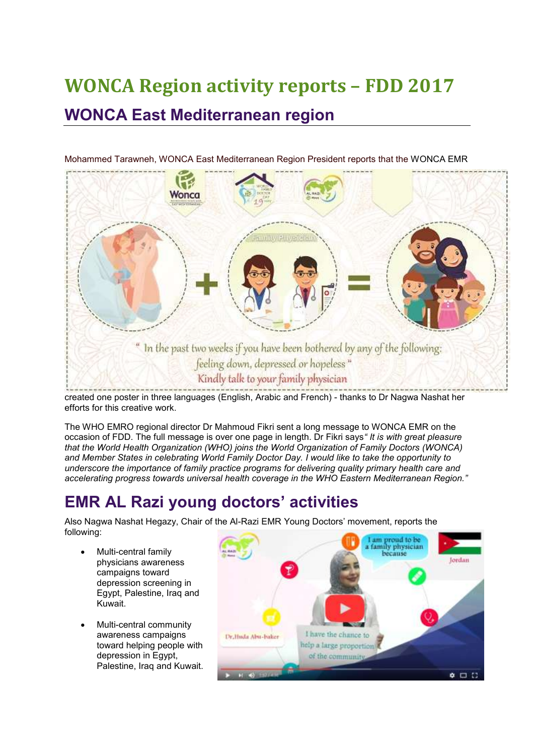# **WONCA Region activity reports – FDD 2017 WONCA East Mediterranean region**



Mohammed Tarawneh, WONCA East Mediterranean Region President reports that the WONCA EMR

created one poster in three languages (English, Arabic and French) - thanks to Dr Nagwa Nashat her efforts for this creative work.

The WHO EMRO regional director Dr Mahmoud Fikri sent a long message to WONCA EMR on the occasion of FDD. The full message is over one page in length. Dr Fikri says*" It is with great pleasure that the World Health Organization (WHO) joins the World Organization of Family Doctors (WONCA) and Member States in celebrating World Family Doctor Day. I would like to take the opportunity to underscore the importance of family practice programs for delivering quality primary health care and accelerating progress towards universal health coverage in the WHO Eastern Mediterranean Region."*

### **EMR AL Razi young doctors' activities**

Also Nagwa Nashat Hegazy, Chair of the Al-Razi EMR Young Doctors' movement, reports the following:

- Multi-central family physicians awareness campaigns toward depression screening in Egypt, Palestine, Iraq and Kuwait.
- Multi-central community awareness campaigns toward helping people with depression in Egypt, Palestine, Iraq and Kuwait.

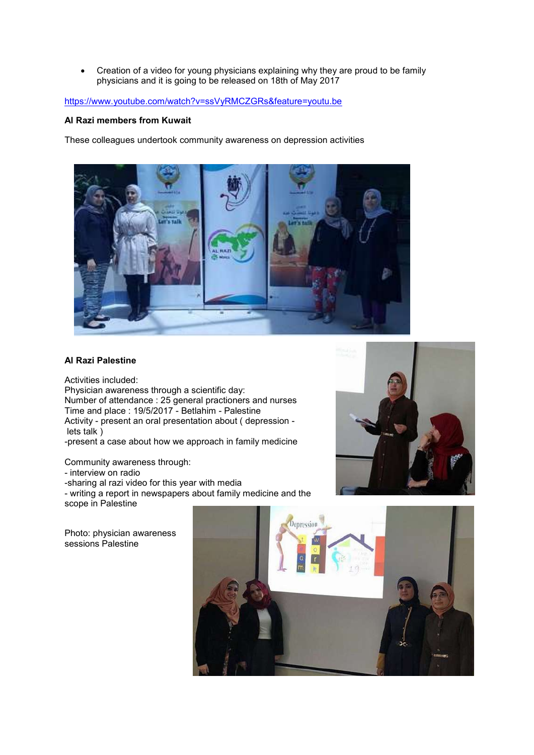Creation of a video for young physicians explaining why they are proud to be family physicians and it is going to be released on 18th of May 2017

#### <https://www.youtube.com/watch?v=ssVyRMCZGRs&feature=youtu.be>

#### **Al Razi members from Kuwait**

These colleagues undertook community awareness on depression activities



#### **Al Razi Palestine**

Activities included: Physician awareness through a scientific day: Number of attendance : 25 general practioners and nurses Time and place : 19/5/2017 - Betlahim - Palestine Activity - present an oral presentation about ( depression lets talk )

-present a case about how we approach in family medicine

Community awareness through:

- interview on radio

-sharing al razi video for this year with media

- writing a report in newspapers about family medicine and the scope in Palestine

Photo: physician awareness sessions Palestine



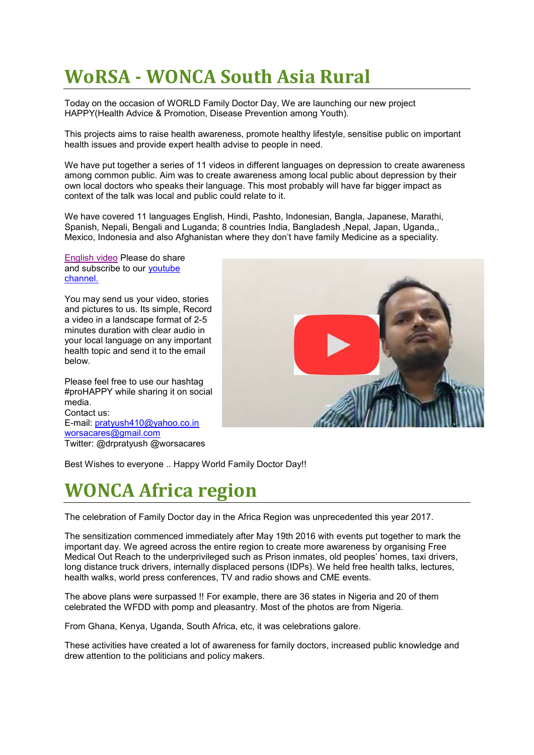## **WoRSA - WONCA South Asia Rural**

Today on the occasion of WORLD Family Doctor Day, We are launching our new project HAPPY(Health Advice & Promotion, Disease Prevention among Youth).

This projects aims to raise health awareness, promote healthy lifestyle, sensitise public on important health issues and provide expert health advise to people in need.

We have put together a series of 11 videos in different languages on depression to create awareness among common public. Aim was to create awareness among local public about depression by their own local doctors who speaks their language. This most probably will have far bigger impact as context of the talk was local and public could relate to it.

We have covered 11 languages English, Hindi, Pashto, Indonesian, Bangla, Japanese, Marathi, Spanish, Nepali, Bengali and Luganda; 8 countries India, Bangladesh ,Nepal, Japan, Uganda,, Mexico, Indonesia and also Afghanistan where they don't have family Medicine as a speciality.

[English video](https://youtu.be/yNEjJIXFdIM) Please do share and subscribe to our [youtube](https://www.youtube.com/channel/UCZOGMGp1Qr5TK7H8dqxLePQ)  [channel.](https://www.youtube.com/channel/UCZOGMGp1Qr5TK7H8dqxLePQ)

You may send us your video, stories and pictures to us. Its simple, Record a video in a landscape format of 2-5 minutes duration with clear audio in your local language on any important health topic and send it to the email below.

Please feel free to use our hashtag #proHAPPY while sharing it on social media. Contact us: E-mail: [pratyush410@yahoo.co.in](mailto:pratyush410@yahoo.co.in) [worsacares@gmail.com](mailto:worsacares@gmail.com) Twitter: @drpratyush @worsacares



Best Wishes to everyone .. Happy World Family Doctor Day!!

### **WONCA Africa region**

The celebration of Family Doctor day in the Africa Region was unprecedented this year 2017.

The sensitization commenced immediately after May 19th 2016 with events put together to mark the important day. We agreed across the entire region to create more awareness by organising Free Medical Out Reach to the underprivileged such as Prison inmates, old peoples' homes, taxi drivers, long distance truck drivers, internally displaced persons (IDPs). We held free health talks, lectures, health walks, world press conferences, TV and radio shows and CME events.

The above plans were surpassed !! For example, there are 36 states in Nigeria and 20 of them celebrated the WFDD with pomp and pleasantry. Most of the photos are from Nigeria.

From Ghana, Kenya, Uganda, South Africa, etc, it was celebrations galore.

These activities have created a lot of awareness for family doctors, increased public knowledge and drew attention to the politicians and policy makers.